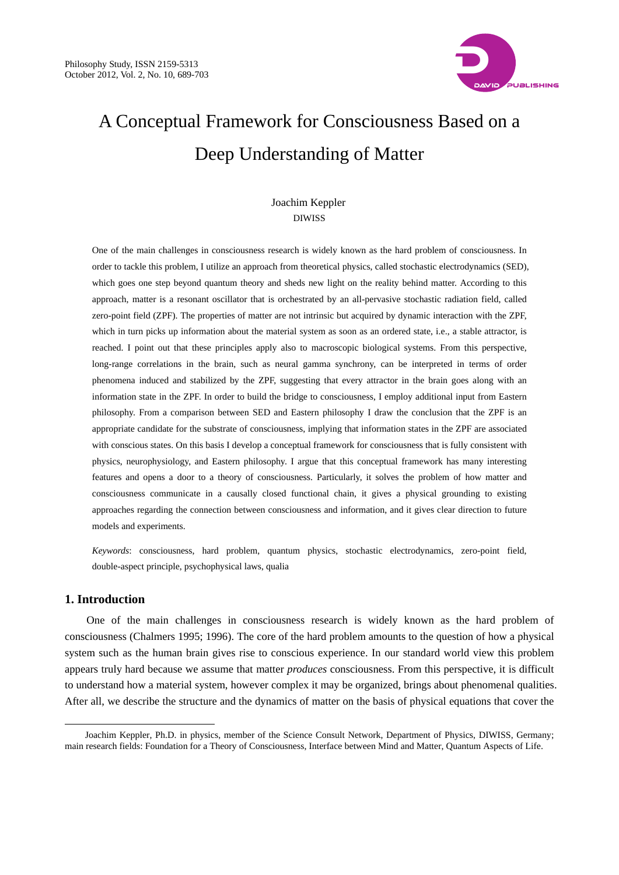

# A Conceptual Framework for Consciousness Based on a Deep Understanding of Matter

## Joachim Keppler DIWISS

One of the main challenges in consciousness research is widely known as the hard problem of consciousness. In order to tackle this problem, I utilize an approach from theoretical physics, called stochastic electrodynamics (SED), which goes one step beyond quantum theory and sheds new light on the reality behind matter. According to this approach, matter is a resonant oscillator that is orchestrated by an all-pervasive stochastic radiation field, called zero-point field (ZPF). The properties of matter are not intrinsic but acquired by dynamic interaction with the ZPF, which in turn picks up information about the material system as soon as an ordered state, i.e., a stable attractor, is reached. I point out that these principles apply also to macroscopic biological systems. From this perspective, long-range correlations in the brain, such as neural gamma synchrony, can be interpreted in terms of order phenomena induced and stabilized by the ZPF, suggesting that every attractor in the brain goes along with an information state in the ZPF. In order to build the bridge to consciousness, I employ additional input from Eastern philosophy. From a comparison between SED and Eastern philosophy I draw the conclusion that the ZPF is an appropriate candidate for the substrate of consciousness, implying that information states in the ZPF are associated with conscious states. On this basis I develop a conceptual framework for consciousness that is fully consistent with physics, neurophysiology, and Eastern philosophy. I argue that this conceptual framework has many interesting features and opens a door to a theory of consciousness. Particularly, it solves the problem of how matter and consciousness communicate in a causally closed functional chain, it gives a physical grounding to existing approaches regarding the connection between consciousness and information, and it gives clear direction to future models and experiments.

*Keywords*: consciousness, hard problem, quantum physics, stochastic electrodynamics, zero-point field, double-aspect principle, psychophysical laws, qualia

## **1. Introduction**

 $\overline{a}$ 

One of the main challenges in consciousness research is widely known as the hard problem of consciousness (Chalmers 1995; 1996). The core of the hard problem amounts to the question of how a physical system such as the human brain gives rise to conscious experience. In our standard world view this problem appears truly hard because we assume that matter *produces* consciousness. From this perspective, it is difficult to understand how a material system, however complex it may be organized, brings about phenomenal qualities. After all, we describe the structure and the dynamics of matter on the basis of physical equations that cover the

Joachim Keppler, Ph.D. in physics, member of the Science Consult Network, Department of Physics, DIWISS, Germany; main research fields: Foundation for a Theory of Consciousness, Interface between Mind and Matter, Quantum Aspects of Life.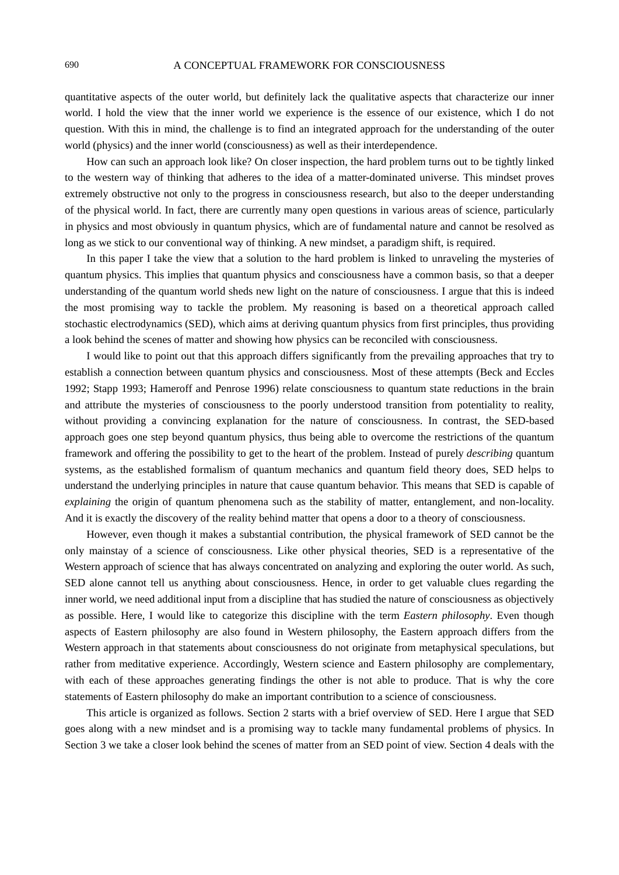quantitative aspects of the outer world, but definitely lack the qualitative aspects that characterize our inner world. I hold the view that the inner world we experience is the essence of our existence, which I do not question. With this in mind, the challenge is to find an integrated approach for the understanding of the outer world (physics) and the inner world (consciousness) as well as their interdependence.

How can such an approach look like? On closer inspection, the hard problem turns out to be tightly linked to the western way of thinking that adheres to the idea of a matter-dominated universe. This mindset proves extremely obstructive not only to the progress in consciousness research, but also to the deeper understanding of the physical world. In fact, there are currently many open questions in various areas of science, particularly in physics and most obviously in quantum physics, which are of fundamental nature and cannot be resolved as long as we stick to our conventional way of thinking. A new mindset, a paradigm shift, is required.

In this paper I take the view that a solution to the hard problem is linked to unraveling the mysteries of quantum physics. This implies that quantum physics and consciousness have a common basis, so that a deeper understanding of the quantum world sheds new light on the nature of consciousness. I argue that this is indeed the most promising way to tackle the problem. My reasoning is based on a theoretical approach called stochastic electrodynamics (SED), which aims at deriving quantum physics from first principles, thus providing a look behind the scenes of matter and showing how physics can be reconciled with consciousness.

I would like to point out that this approach differs significantly from the prevailing approaches that try to establish a connection between quantum physics and consciousness. Most of these attempts (Beck and Eccles 1992; Stapp 1993; Hameroff and Penrose 1996) relate consciousness to quantum state reductions in the brain and attribute the mysteries of consciousness to the poorly understood transition from potentiality to reality, without providing a convincing explanation for the nature of consciousness. In contrast, the SED-based approach goes one step beyond quantum physics, thus being able to overcome the restrictions of the quantum framework and offering the possibility to get to the heart of the problem. Instead of purely *describing* quantum systems, as the established formalism of quantum mechanics and quantum field theory does, SED helps to understand the underlying principles in nature that cause quantum behavior. This means that SED is capable of *explaining* the origin of quantum phenomena such as the stability of matter, entanglement, and non-locality. And it is exactly the discovery of the reality behind matter that opens a door to a theory of consciousness.

However, even though it makes a substantial contribution, the physical framework of SED cannot be the only mainstay of a science of consciousness. Like other physical theories, SED is a representative of the Western approach of science that has always concentrated on analyzing and exploring the outer world. As such, SED alone cannot tell us anything about consciousness. Hence, in order to get valuable clues regarding the inner world, we need additional input from a discipline that has studied the nature of consciousness as objectively as possible. Here, I would like to categorize this discipline with the term *Eastern philosophy*. Even though aspects of Eastern philosophy are also found in Western philosophy, the Eastern approach differs from the Western approach in that statements about consciousness do not originate from metaphysical speculations, but rather from meditative experience. Accordingly, Western science and Eastern philosophy are complementary, with each of these approaches generating findings the other is not able to produce. That is why the core statements of Eastern philosophy do make an important contribution to a science of consciousness.

This article is organized as follows. Section 2 starts with a brief overview of SED. Here I argue that SED goes along with a new mindset and is a promising way to tackle many fundamental problems of physics. In Section 3 we take a closer look behind the scenes of matter from an SED point of view. Section 4 deals with the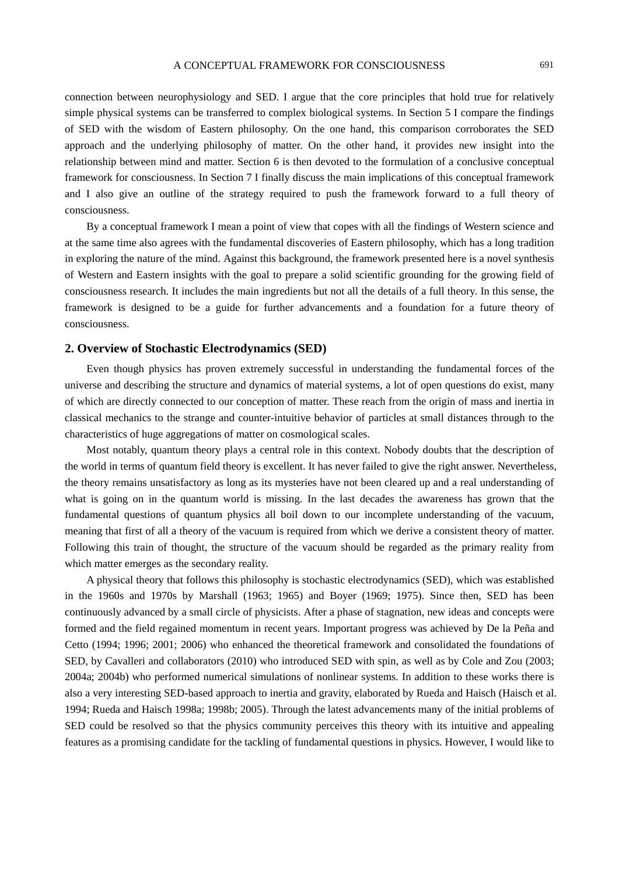connection between neurophysiology and SED. I argue that the core principles that hold true for relatively simple physical systems can be transferred to complex biological systems. In Section 5 I compare the findings of SED with the wisdom of Eastern philosophy. On the one hand, this comparison corroborates the SED approach and the underlying philosophy of matter. On the other hand, it provides new insight into the relationship between mind and matter. Section 6 is then devoted to the formulation of a conclusive conceptual framework for consciousness. In Section 7 I finally discuss the main implications of this conceptual framework and I also give an outline of the strategy required to push the framework forward to a full theory of consciousness.

By a conceptual framework I mean a point of view that copes with all the findings of Western science and at the same time also agrees with the fundamental discoveries of Eastern philosophy, which has a long tradition in exploring the nature of the mind. Against this background, the framework presented here is a novel synthesis of Western and Eastern insights with the goal to prepare a solid scientific grounding for the growing field of consciousness research. It includes the main ingredients but not all the details of a full theory. In this sense, the framework is designed to be a guide for further advancements and a foundation for a future theory of consciousness.

## **2. Overview of Stochastic Electrodynamics (SED)**

Even though physics has proven extremely successful in understanding the fundamental forces of the universe and describing the structure and dynamics of material systems, a lot of open questions do exist, many of which are directly connected to our conception of matter. These reach from the origin of mass and inertia in classical mechanics to the strange and counter-intuitive behavior of particles at small distances through to the characteristics of huge aggregations of matter on cosmological scales.

Most notably, quantum theory plays a central role in this context. Nobody doubts that the description of the world in terms of quantum field theory is excellent. It has never failed to give the right answer. Nevertheless, the theory remains unsatisfactory as long as its mysteries have not been cleared up and a real understanding of what is going on in the quantum world is missing. In the last decades the awareness has grown that the fundamental questions of quantum physics all boil down to our incomplete understanding of the vacuum, meaning that first of all a theory of the vacuum is required from which we derive a consistent theory of matter. Following this train of thought, the structure of the vacuum should be regarded as the primary reality from which matter emerges as the secondary reality.

A physical theory that follows this philosophy is stochastic electrodynamics (SED), which was established in the 1960s and 1970s by Marshall (1963; 1965) and Boyer (1969; 1975). Since then, SED has been continuously advanced by a small circle of physicists. After a phase of stagnation, new ideas and concepts were formed and the field regained momentum in recent years. Important progress was achieved by De la Peña and Cetto (1994; 1996; 2001; 2006) who enhanced the theoretical framework and consolidated the foundations of SED, by Cavalleri and collaborators (2010) who introduced SED with spin, as well as by Cole and Zou (2003; 2004a; 2004b) who performed numerical simulations of nonlinear systems. In addition to these works there is also a very interesting SED-based approach to inertia and gravity, elaborated by Rueda and Haisch (Haisch et al. 1994; Rueda and Haisch 1998a; 1998b; 2005). Through the latest advancements many of the initial problems of SED could be resolved so that the physics community perceives this theory with its intuitive and appealing features as a promising candidate for the tackling of fundamental questions in physics. However, I would like to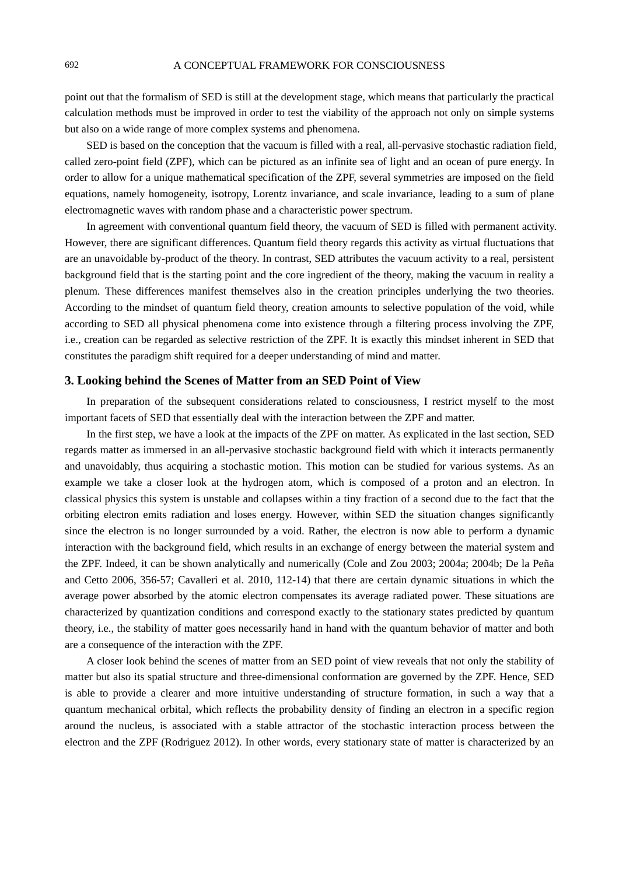point out that the formalism of SED is still at the development stage, which means that particularly the practical calculation methods must be improved in order to test the viability of the approach not only on simple systems but also on a wide range of more complex systems and phenomena.

SED is based on the conception that the vacuum is filled with a real, all-pervasive stochastic radiation field, called zero-point field (ZPF), which can be pictured as an infinite sea of light and an ocean of pure energy. In order to allow for a unique mathematical specification of the ZPF, several symmetries are imposed on the field equations, namely homogeneity, isotropy, Lorentz invariance, and scale invariance, leading to a sum of plane electromagnetic waves with random phase and a characteristic power spectrum.

In agreement with conventional quantum field theory, the vacuum of SED is filled with permanent activity. However, there are significant differences. Quantum field theory regards this activity as virtual fluctuations that are an unavoidable by-product of the theory. In contrast, SED attributes the vacuum activity to a real, persistent background field that is the starting point and the core ingredient of the theory, making the vacuum in reality a plenum. These differences manifest themselves also in the creation principles underlying the two theories. According to the mindset of quantum field theory, creation amounts to selective population of the void, while according to SED all physical phenomena come into existence through a filtering process involving the ZPF, i.e., creation can be regarded as selective restriction of the ZPF. It is exactly this mindset inherent in SED that constitutes the paradigm shift required for a deeper understanding of mind and matter.

## **3. Looking behind the Scenes of Matter from an SED Point of View**

In preparation of the subsequent considerations related to consciousness, I restrict myself to the most important facets of SED that essentially deal with the interaction between the ZPF and matter.

In the first step, we have a look at the impacts of the ZPF on matter. As explicated in the last section, SED regards matter as immersed in an all-pervasive stochastic background field with which it interacts permanently and unavoidably, thus acquiring a stochastic motion. This motion can be studied for various systems. As an example we take a closer look at the hydrogen atom, which is composed of a proton and an electron. In classical physics this system is unstable and collapses within a tiny fraction of a second due to the fact that the orbiting electron emits radiation and loses energy. However, within SED the situation changes significantly since the electron is no longer surrounded by a void. Rather, the electron is now able to perform a dynamic interaction with the background field, which results in an exchange of energy between the material system and the ZPF. Indeed, it can be shown analytically and numerically (Cole and Zou 2003; 2004a; 2004b; De la Peña and Cetto 2006, 356-57; Cavalleri et al. 2010, 112-14) that there are certain dynamic situations in which the average power absorbed by the atomic electron compensates its average radiated power. These situations are characterized by quantization conditions and correspond exactly to the stationary states predicted by quantum theory, i.e., the stability of matter goes necessarily hand in hand with the quantum behavior of matter and both are a consequence of the interaction with the ZPF.

A closer look behind the scenes of matter from an SED point of view reveals that not only the stability of matter but also its spatial structure and three-dimensional conformation are governed by the ZPF. Hence, SED is able to provide a clearer and more intuitive understanding of structure formation, in such a way that a quantum mechanical orbital, which reflects the probability density of finding an electron in a specific region around the nucleus, is associated with a stable attractor of the stochastic interaction process between the electron and the ZPF (Rodriguez 2012). In other words, every stationary state of matter is characterized by an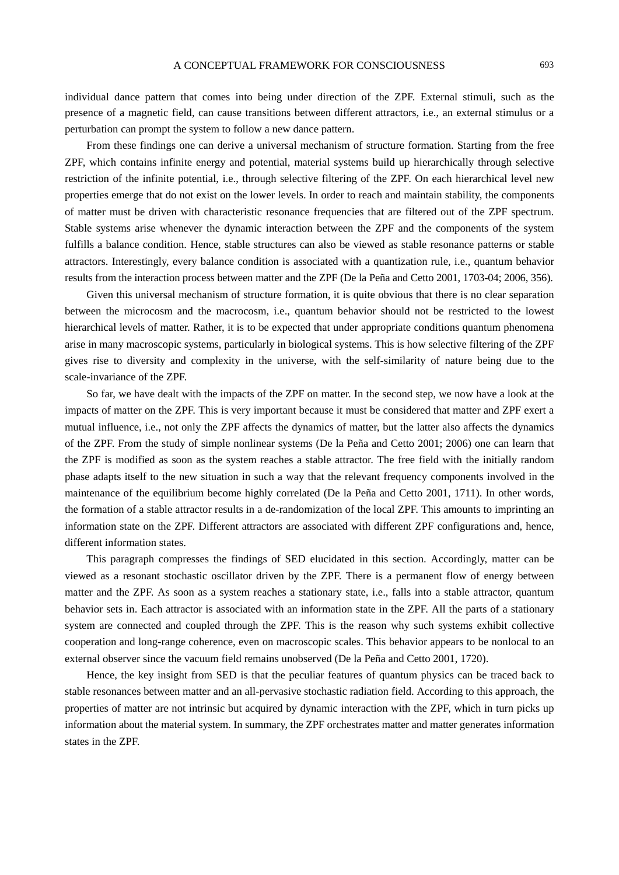individual dance pattern that comes into being under direction of the ZPF. External stimuli, such as the presence of a magnetic field, can cause transitions between different attractors, i.e., an external stimulus or a perturbation can prompt the system to follow a new dance pattern.

From these findings one can derive a universal mechanism of structure formation. Starting from the free ZPF, which contains infinite energy and potential, material systems build up hierarchically through selective restriction of the infinite potential, i.e., through selective filtering of the ZPF. On each hierarchical level new properties emerge that do not exist on the lower levels. In order to reach and maintain stability, the components of matter must be driven with characteristic resonance frequencies that are filtered out of the ZPF spectrum. Stable systems arise whenever the dynamic interaction between the ZPF and the components of the system fulfills a balance condition. Hence, stable structures can also be viewed as stable resonance patterns or stable attractors. Interestingly, every balance condition is associated with a quantization rule, i.e., quantum behavior results from the interaction process between matter and the ZPF (De la Peña and Cetto 2001, 1703-04; 2006, 356).

Given this universal mechanism of structure formation, it is quite obvious that there is no clear separation between the microcosm and the macrocosm, i.e., quantum behavior should not be restricted to the lowest hierarchical levels of matter. Rather, it is to be expected that under appropriate conditions quantum phenomena arise in many macroscopic systems, particularly in biological systems. This is how selective filtering of the ZPF gives rise to diversity and complexity in the universe, with the self-similarity of nature being due to the scale-invariance of the ZPF.

So far, we have dealt with the impacts of the ZPF on matter. In the second step, we now have a look at the impacts of matter on the ZPF. This is very important because it must be considered that matter and ZPF exert a mutual influence, i.e., not only the ZPF affects the dynamics of matter, but the latter also affects the dynamics of the ZPF. From the study of simple nonlinear systems (De la Peña and Cetto 2001; 2006) one can learn that the ZPF is modified as soon as the system reaches a stable attractor. The free field with the initially random phase adapts itself to the new situation in such a way that the relevant frequency components involved in the maintenance of the equilibrium become highly correlated (De la Peña and Cetto 2001, 1711). In other words, the formation of a stable attractor results in a de-randomization of the local ZPF. This amounts to imprinting an information state on the ZPF. Different attractors are associated with different ZPF configurations and, hence, different information states.

This paragraph compresses the findings of SED elucidated in this section. Accordingly, matter can be viewed as a resonant stochastic oscillator driven by the ZPF. There is a permanent flow of energy between matter and the ZPF. As soon as a system reaches a stationary state, i.e., falls into a stable attractor, quantum behavior sets in. Each attractor is associated with an information state in the ZPF. All the parts of a stationary system are connected and coupled through the ZPF. This is the reason why such systems exhibit collective cooperation and long-range coherence, even on macroscopic scales. This behavior appears to be nonlocal to an external observer since the vacuum field remains unobserved (De la Peña and Cetto 2001, 1720).

Hence, the key insight from SED is that the peculiar features of quantum physics can be traced back to stable resonances between matter and an all-pervasive stochastic radiation field. According to this approach, the properties of matter are not intrinsic but acquired by dynamic interaction with the ZPF, which in turn picks up information about the material system. In summary, the ZPF orchestrates matter and matter generates information states in the ZPF.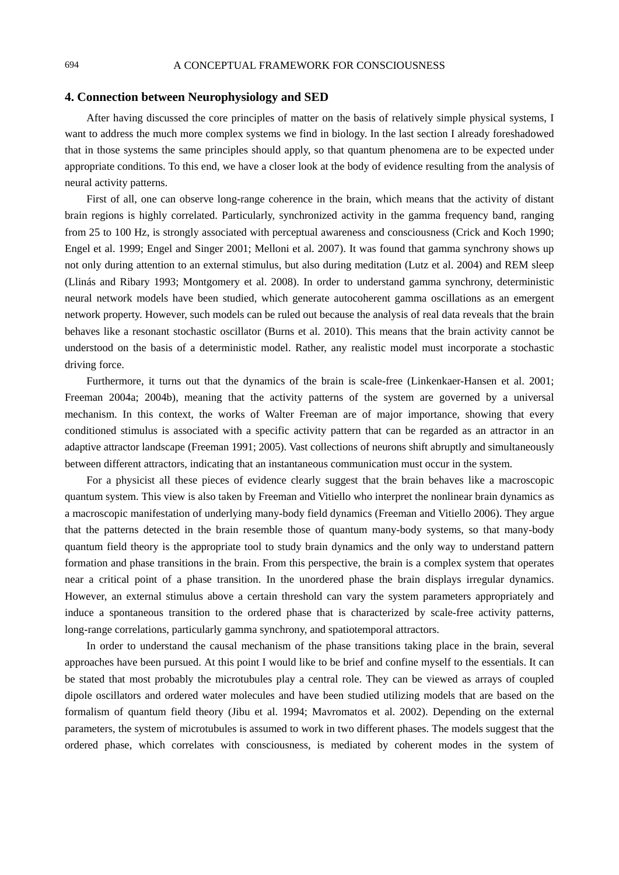## **4. Connection between Neurophysiology and SED**

After having discussed the core principles of matter on the basis of relatively simple physical systems, I want to address the much more complex systems we find in biology. In the last section I already foreshadowed that in those systems the same principles should apply, so that quantum phenomena are to be expected under appropriate conditions. To this end, we have a closer look at the body of evidence resulting from the analysis of neural activity patterns.

First of all, one can observe long-range coherence in the brain, which means that the activity of distant brain regions is highly correlated. Particularly, synchronized activity in the gamma frequency band, ranging from 25 to 100 Hz, is strongly associated with perceptual awareness and consciousness (Crick and Koch 1990; Engel et al. 1999; Engel and Singer 2001; Melloni et al. 2007). It was found that gamma synchrony shows up not only during attention to an external stimulus, but also during meditation (Lutz et al. 2004) and REM sleep (Llinás and Ribary 1993; Montgomery et al. 2008). In order to understand gamma synchrony, deterministic neural network models have been studied, which generate autocoherent gamma oscillations as an emergent network property. However, such models can be ruled out because the analysis of real data reveals that the brain behaves like a resonant stochastic oscillator (Burns et al. 2010). This means that the brain activity cannot be understood on the basis of a deterministic model. Rather, any realistic model must incorporate a stochastic driving force.

Furthermore, it turns out that the dynamics of the brain is scale-free (Linkenkaer-Hansen et al. 2001; Freeman 2004a; 2004b), meaning that the activity patterns of the system are governed by a universal mechanism. In this context, the works of Walter Freeman are of major importance, showing that every conditioned stimulus is associated with a specific activity pattern that can be regarded as an attractor in an adaptive attractor landscape (Freeman 1991; 2005). Vast collections of neurons shift abruptly and simultaneously between different attractors, indicating that an instantaneous communication must occur in the system.

For a physicist all these pieces of evidence clearly suggest that the brain behaves like a macroscopic quantum system. This view is also taken by Freeman and Vitiello who interpret the nonlinear brain dynamics as a macroscopic manifestation of underlying many-body field dynamics (Freeman and Vitiello 2006). They argue that the patterns detected in the brain resemble those of quantum many-body systems, so that many-body quantum field theory is the appropriate tool to study brain dynamics and the only way to understand pattern formation and phase transitions in the brain. From this perspective, the brain is a complex system that operates near a critical point of a phase transition. In the unordered phase the brain displays irregular dynamics. However, an external stimulus above a certain threshold can vary the system parameters appropriately and induce a spontaneous transition to the ordered phase that is characterized by scale-free activity patterns, long-range correlations, particularly gamma synchrony, and spatiotemporal attractors.

In order to understand the causal mechanism of the phase transitions taking place in the brain, several approaches have been pursued. At this point I would like to be brief and confine myself to the essentials. It can be stated that most probably the microtubules play a central role. They can be viewed as arrays of coupled dipole oscillators and ordered water molecules and have been studied utilizing models that are based on the formalism of quantum field theory (Jibu et al. 1994; Mavromatos et al. 2002). Depending on the external parameters, the system of microtubules is assumed to work in two different phases. The models suggest that the ordered phase, which correlates with consciousness, is mediated by coherent modes in the system of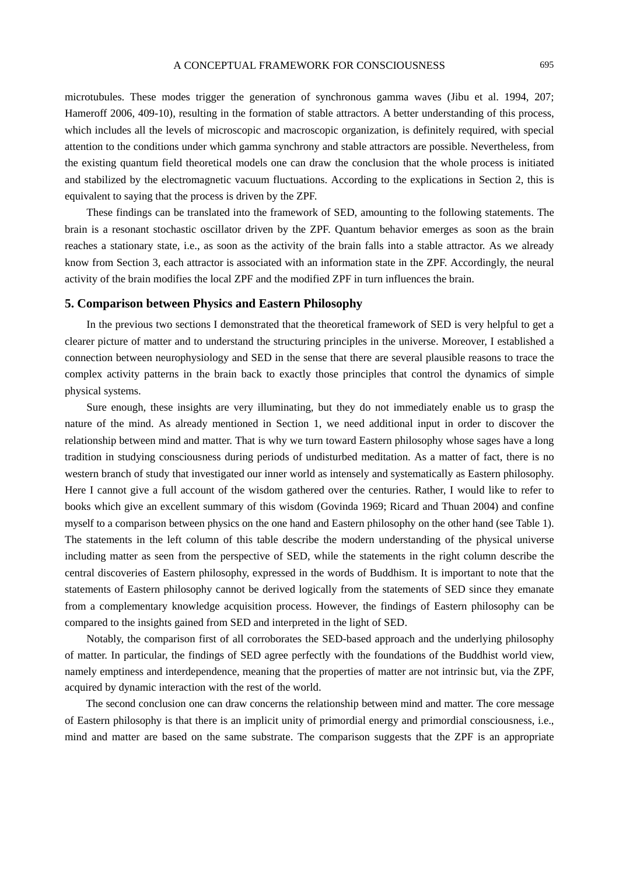microtubules. These modes trigger the generation of synchronous gamma waves (Jibu et al. 1994, 207; Hameroff 2006, 409-10), resulting in the formation of stable attractors. A better understanding of this process, which includes all the levels of microscopic and macroscopic organization, is definitely required, with special attention to the conditions under which gamma synchrony and stable attractors are possible. Nevertheless, from the existing quantum field theoretical models one can draw the conclusion that the whole process is initiated and stabilized by the electromagnetic vacuum fluctuations. According to the explications in Section 2, this is equivalent to saying that the process is driven by the ZPF.

These findings can be translated into the framework of SED, amounting to the following statements. The brain is a resonant stochastic oscillator driven by the ZPF. Quantum behavior emerges as soon as the brain reaches a stationary state, i.e., as soon as the activity of the brain falls into a stable attractor. As we already know from Section 3, each attractor is associated with an information state in the ZPF. Accordingly, the neural activity of the brain modifies the local ZPF and the modified ZPF in turn influences the brain.

## **5. Comparison between Physics and Eastern Philosophy**

In the previous two sections I demonstrated that the theoretical framework of SED is very helpful to get a clearer picture of matter and to understand the structuring principles in the universe. Moreover, I established a connection between neurophysiology and SED in the sense that there are several plausible reasons to trace the complex activity patterns in the brain back to exactly those principles that control the dynamics of simple physical systems.

Sure enough, these insights are very illuminating, but they do not immediately enable us to grasp the nature of the mind. As already mentioned in Section 1, we need additional input in order to discover the relationship between mind and matter. That is why we turn toward Eastern philosophy whose sages have a long tradition in studying consciousness during periods of undisturbed meditation. As a matter of fact, there is no western branch of study that investigated our inner world as intensely and systematically as Eastern philosophy. Here I cannot give a full account of the wisdom gathered over the centuries. Rather, I would like to refer to books which give an excellent summary of this wisdom (Govinda 1969; Ricard and Thuan 2004) and confine myself to a comparison between physics on the one hand and Eastern philosophy on the other hand (see Table 1). The statements in the left column of this table describe the modern understanding of the physical universe including matter as seen from the perspective of SED, while the statements in the right column describe the central discoveries of Eastern philosophy, expressed in the words of Buddhism. It is important to note that the statements of Eastern philosophy cannot be derived logically from the statements of SED since they emanate from a complementary knowledge acquisition process. However, the findings of Eastern philosophy can be compared to the insights gained from SED and interpreted in the light of SED.

Notably, the comparison first of all corroborates the SED-based approach and the underlying philosophy of matter. In particular, the findings of SED agree perfectly with the foundations of the Buddhist world view, namely emptiness and interdependence, meaning that the properties of matter are not intrinsic but, via the ZPF, acquired by dynamic interaction with the rest of the world.

The second conclusion one can draw concerns the relationship between mind and matter. The core message of Eastern philosophy is that there is an implicit unity of primordial energy and primordial consciousness, i.e., mind and matter are based on the same substrate. The comparison suggests that the ZPF is an appropriate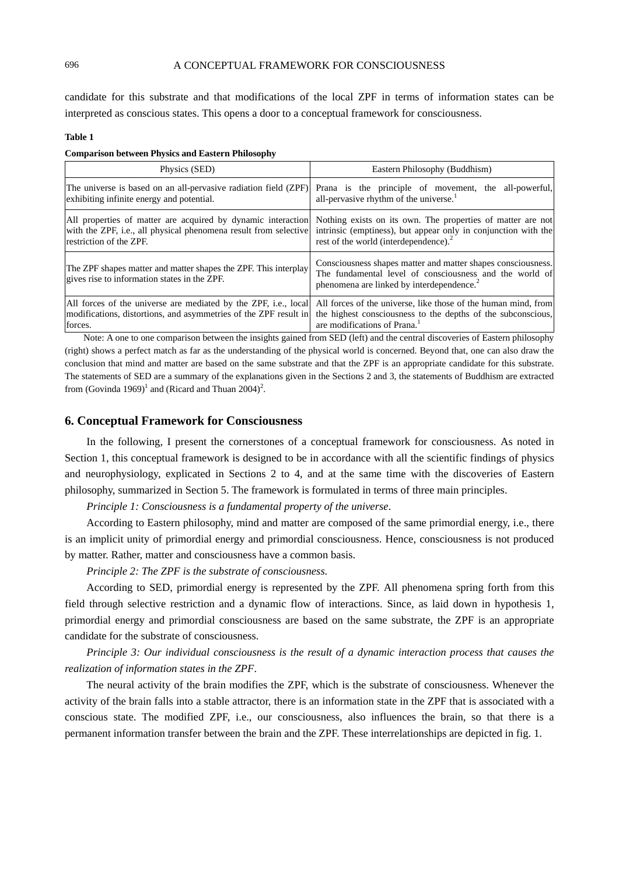candidate for this substrate and that modifications of the local ZPF in terms of information states can be interpreted as conscious states. This opens a door to a conceptual framework for consciousness.

#### **Table 1**

#### **Comparison between Physics and Eastern Philosophy**

| Physics (SED)                                                                                                                                               | Eastern Philosophy (Buddhism)                                                                                                                                                                                                                                                                                          |
|-------------------------------------------------------------------------------------------------------------------------------------------------------------|------------------------------------------------------------------------------------------------------------------------------------------------------------------------------------------------------------------------------------------------------------------------------------------------------------------------|
| The universe is based on an all-pervasive radiation field (ZPF)<br>exhibiting infinite energy and potential.                                                | Prana is the principle of movement, the all-powerful,<br>all-pervasive rhythm of the universe.                                                                                                                                                                                                                         |
| All properties of matter are acquired by dynamic interaction<br>with the ZPF, i.e., all physical phenomena result from selective<br>restriction of the ZPF. | Nothing exists on its own. The properties of matter are not<br>intrinsic (emptiness), but appear only in conjunction with the<br>rest of the world (interdependence). <sup>2</sup>                                                                                                                                     |
| The ZPF shapes matter and matter shapes the ZPF. This interplay<br>gives rise to information states in the ZPF.                                             | Consciousness shapes matter and matter shapes consciousness.<br>The fundamental level of consciousness and the world of<br>phenomena are linked by interdependence. <sup>2</sup>                                                                                                                                       |
| All forces of the universe are mediated by the ZPF, <i>i.e.</i> , local<br>modifications, distortions, and asymmetries of the ZPF result in<br>forces.      | All forces of the universe, like those of the human mind, from<br>the highest consciousness to the depths of the subconscious,<br>are modifications of Prana. <sup>1</sup><br>$\mathbf{M}$ , and a second the state of the state of $\mathbf{M}$ , and the state of $\mathbf{M}$ , and $\mathbf{M}$ , and $\mathbf{M}$ |

Note: A one to one comparison between the insights gained from SED (left) and the central discoveries of Eastern philosophy (right) shows a perfect match as far as the understanding of the physical world is concerned. Beyond that, one can also draw the conclusion that mind and matter are based on the same substrate and that the ZPF is an appropriate candidate for this substrate. The statements of SED are a summary of the explanations given in the Sections 2 and 3, the statements of Buddhism are extracted from (Govinda 1969)<sup>1</sup> and (Ricard and Thuan 2004)<sup>2</sup>.

#### **6. Conceptual Framework for Consciousness**

In the following, I present the cornerstones of a conceptual framework for consciousness. As noted in Section 1, this conceptual framework is designed to be in accordance with all the scientific findings of physics and neurophysiology, explicated in Sections 2 to 4, and at the same time with the discoveries of Eastern philosophy, summarized in Section 5. The framework is formulated in terms of three main principles.

*Principle 1: Consciousness is a fundamental property of the universe*.

According to Eastern philosophy, mind and matter are composed of the same primordial energy, i.e., there is an implicit unity of primordial energy and primordial consciousness. Hence, consciousness is not produced by matter. Rather, matter and consciousness have a common basis.

*Principle 2: The ZPF is the substrate of consciousness*.

According to SED, primordial energy is represented by the ZPF. All phenomena spring forth from this field through selective restriction and a dynamic flow of interactions. Since, as laid down in hypothesis 1, primordial energy and primordial consciousness are based on the same substrate, the ZPF is an appropriate candidate for the substrate of consciousness.

*Principle 3: Our individual consciousness is the result of a dynamic interaction process that causes the realization of information states in the ZPF*.

The neural activity of the brain modifies the ZPF, which is the substrate of consciousness. Whenever the activity of the brain falls into a stable attractor, there is an information state in the ZPF that is associated with a conscious state. The modified ZPF, i.e., our consciousness, also influences the brain, so that there is a permanent information transfer between the brain and the ZPF. These interrelationships are depicted in fig. 1.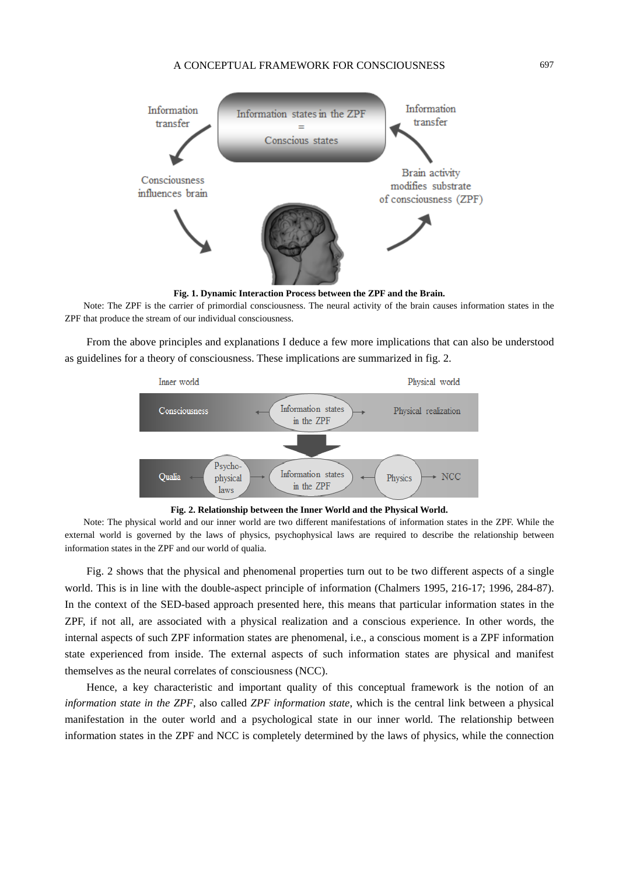

**Fig. 1. Dynamic Interaction Process between the ZPF and the Brain.** 

Note: The ZPF is the carrier of primordial consciousness. The neural activity of the brain causes information states in the ZPF that produce the stream of our individual consciousness.

From the above principles and explanations I deduce a few more implications that can also be understood as guidelines for a theory of consciousness. These implications are summarized in fig. 2.



**Fig. 2. Relationship between the Inner World and the Physical World.** 

Note: The physical world and our inner world are two different manifestations of information states in the ZPF. While the external world is governed by the laws of physics, psychophysical laws are required to describe the relationship between information states in the ZPF and our world of qualia.

Fig. 2 shows that the physical and phenomenal properties turn out to be two different aspects of a single world. This is in line with the double-aspect principle of information (Chalmers 1995, 216-17; 1996, 284-87). In the context of the SED-based approach presented here, this means that particular information states in the ZPF, if not all, are associated with a physical realization and a conscious experience. In other words, the internal aspects of such ZPF information states are phenomenal, i.e., a conscious moment is a ZPF information state experienced from inside. The external aspects of such information states are physical and manifest themselves as the neural correlates of consciousness (NCC).

Hence, a key characteristic and important quality of this conceptual framework is the notion of an *information state in the ZPF*, also called *ZPF information state*, which is the central link between a physical manifestation in the outer world and a psychological state in our inner world. The relationship between information states in the ZPF and NCC is completely determined by the laws of physics, while the connection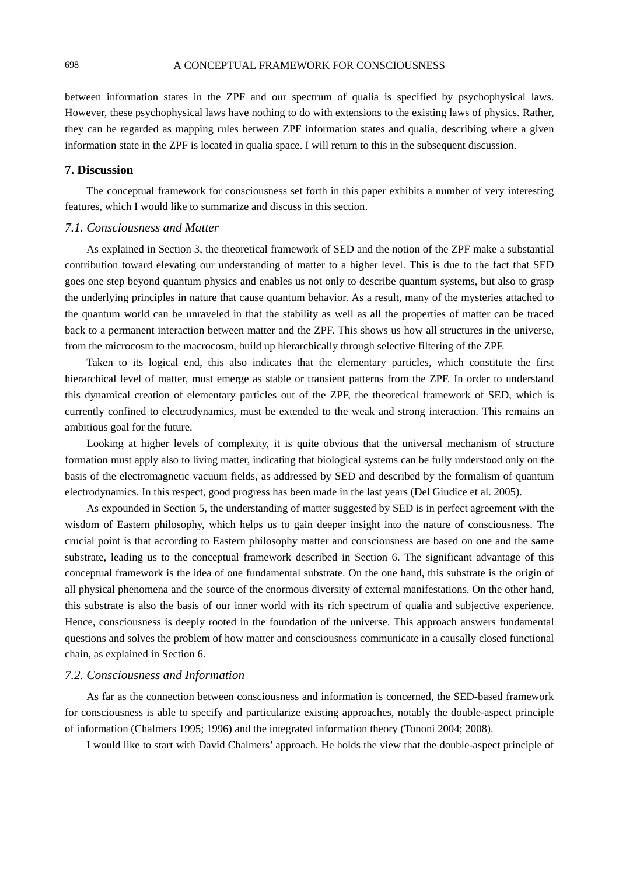between information states in the ZPF and our spectrum of qualia is specified by psychophysical laws. However, these psychophysical laws have nothing to do with extensions to the existing laws of physics. Rather, they can be regarded as mapping rules between ZPF information states and qualia, describing where a given information state in the ZPF is located in qualia space. I will return to this in the subsequent discussion.

## **7. Discussion**

The conceptual framework for consciousness set forth in this paper exhibits a number of very interesting features, which I would like to summarize and discuss in this section.

## *7.1. Consciousness and Matter*

As explained in Section 3, the theoretical framework of SED and the notion of the ZPF make a substantial contribution toward elevating our understanding of matter to a higher level. This is due to the fact that SED goes one step beyond quantum physics and enables us not only to describe quantum systems, but also to grasp the underlying principles in nature that cause quantum behavior. As a result, many of the mysteries attached to the quantum world can be unraveled in that the stability as well as all the properties of matter can be traced back to a permanent interaction between matter and the ZPF. This shows us how all structures in the universe, from the microcosm to the macrocosm, build up hierarchically through selective filtering of the ZPF.

Taken to its logical end, this also indicates that the elementary particles, which constitute the first hierarchical level of matter, must emerge as stable or transient patterns from the ZPF. In order to understand this dynamical creation of elementary particles out of the ZPF, the theoretical framework of SED, which is currently confined to electrodynamics, must be extended to the weak and strong interaction. This remains an ambitious goal for the future.

Looking at higher levels of complexity, it is quite obvious that the universal mechanism of structure formation must apply also to living matter, indicating that biological systems can be fully understood only on the basis of the electromagnetic vacuum fields, as addressed by SED and described by the formalism of quantum electrodynamics. In this respect, good progress has been made in the last years (Del Giudice et al. 2005).

As expounded in Section 5, the understanding of matter suggested by SED is in perfect agreement with the wisdom of Eastern philosophy, which helps us to gain deeper insight into the nature of consciousness. The crucial point is that according to Eastern philosophy matter and consciousness are based on one and the same substrate, leading us to the conceptual framework described in Section 6. The significant advantage of this conceptual framework is the idea of one fundamental substrate. On the one hand, this substrate is the origin of all physical phenomena and the source of the enormous diversity of external manifestations. On the other hand, this substrate is also the basis of our inner world with its rich spectrum of qualia and subjective experience. Hence, consciousness is deeply rooted in the foundation of the universe. This approach answers fundamental questions and solves the problem of how matter and consciousness communicate in a causally closed functional chain, as explained in Section 6.

## *7.2. Consciousness and Information*

As far as the connection between consciousness and information is concerned, the SED-based framework for consciousness is able to specify and particularize existing approaches, notably the double-aspect principle of information (Chalmers 1995; 1996) and the integrated information theory (Tononi 2004; 2008).

I would like to start with David Chalmers' approach. He holds the view that the double-aspect principle of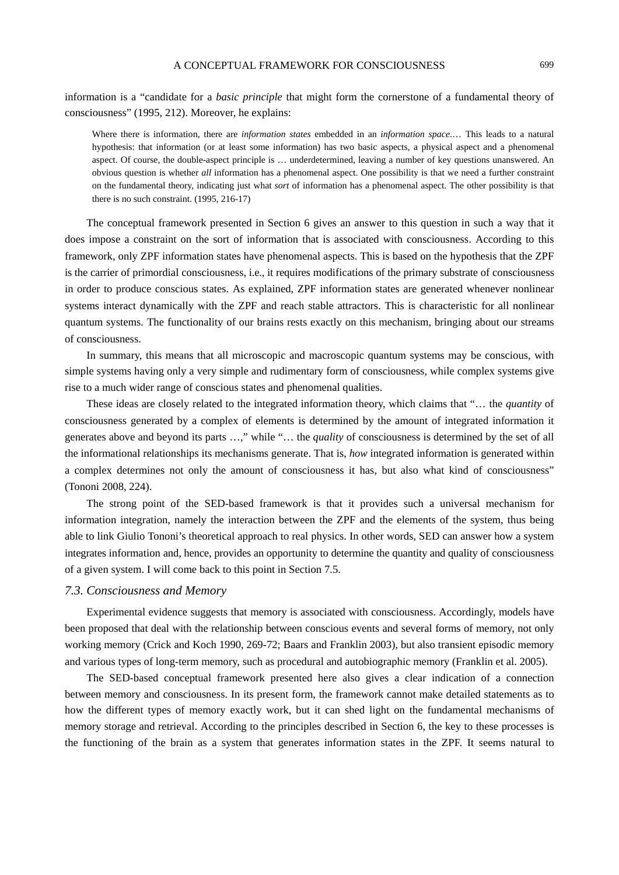## A CONCEPTUAL FRAMEWORK FOR CONSCIOUSNESS 699

information is a "candidate for a *basic principle* that might form the cornerstone of a fundamental theory of consciousness" (1995, 212). Moreover, he explains:

Where there is information, there are *information states* embedded in an *information space*.… This leads to a natural hypothesis: that information (or at least some information) has two basic aspects, a physical aspect and a phenomenal aspect. Of course, the double-aspect principle is … underdetermined, leaving a number of key questions unanswered. An obvious question is whether *all* information has a phenomenal aspect. One possibility is that we need a further constraint on the fundamental theory, indicating just what *sort* of information has a phenomenal aspect. The other possibility is that there is no such constraint. (1995, 216-17)

The conceptual framework presented in Section 6 gives an answer to this question in such a way that it does impose a constraint on the sort of information that is associated with consciousness. According to this framework, only ZPF information states have phenomenal aspects. This is based on the hypothesis that the ZPF is the carrier of primordial consciousness, i.e., it requires modifications of the primary substrate of consciousness in order to produce conscious states. As explained, ZPF information states are generated whenever nonlinear systems interact dynamically with the ZPF and reach stable attractors. This is characteristic for all nonlinear quantum systems. The functionality of our brains rests exactly on this mechanism, bringing about our streams of consciousness.

In summary, this means that all microscopic and macroscopic quantum systems may be conscious, with simple systems having only a very simple and rudimentary form of consciousness, while complex systems give rise to a much wider range of conscious states and phenomenal qualities.

These ideas are closely related to the integrated information theory, which claims that "… the *quantity* of consciousness generated by a complex of elements is determined by the amount of integrated information it generates above and beyond its parts …," while "… the *quality* of consciousness is determined by the set of all the informational relationships its mechanisms generate. That is, *how* integrated information is generated within a complex determines not only the amount of consciousness it has, but also what kind of consciousness" (Tononi 2008, 224).

The strong point of the SED-based framework is that it provides such a universal mechanism for information integration, namely the interaction between the ZPF and the elements of the system, thus being able to link Giulio Tononi's theoretical approach to real physics. In other words, SED can answer how a system integrates information and, hence, provides an opportunity to determine the quantity and quality of consciousness of a given system. I will come back to this point in Section 7.5.

## *7.3. Consciousness and Memory*

Experimental evidence suggests that memory is associated with consciousness. Accordingly, models have been proposed that deal with the relationship between conscious events and several forms of memory, not only working memory (Crick and Koch 1990, 269-72; Baars and Franklin 2003), but also transient episodic memory and various types of long-term memory, such as procedural and autobiographic memory (Franklin et al. 2005).

The SED-based conceptual framework presented here also gives a clear indication of a connection between memory and consciousness. In its present form, the framework cannot make detailed statements as to how the different types of memory exactly work, but it can shed light on the fundamental mechanisms of memory storage and retrieval. According to the principles described in Section 6, the key to these processes is the functioning of the brain as a system that generates information states in the ZPF. It seems natural to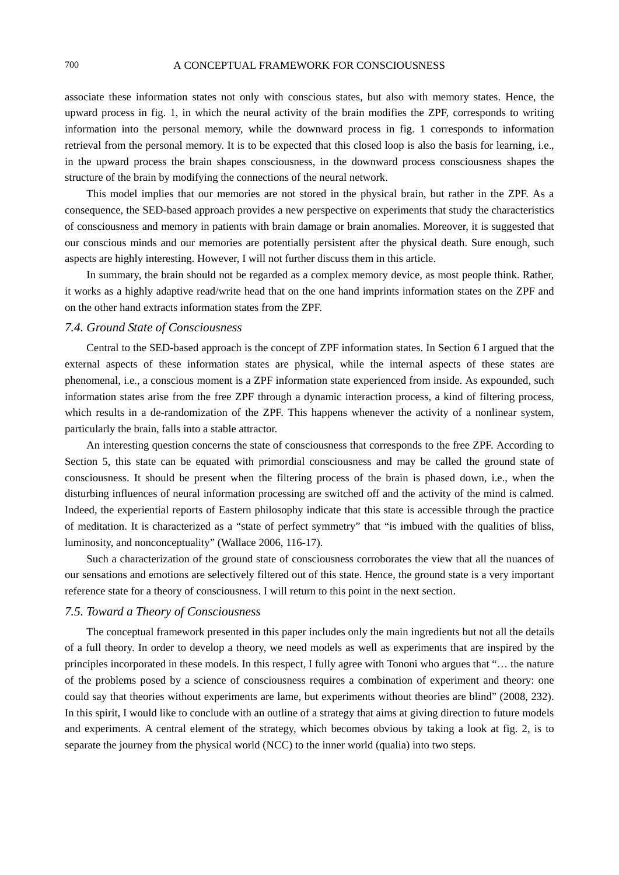associate these information states not only with conscious states, but also with memory states. Hence, the upward process in fig. 1, in which the neural activity of the brain modifies the ZPF, corresponds to writing information into the personal memory, while the downward process in fig. 1 corresponds to information retrieval from the personal memory. It is to be expected that this closed loop is also the basis for learning, i.e., in the upward process the brain shapes consciousness, in the downward process consciousness shapes the structure of the brain by modifying the connections of the neural network.

This model implies that our memories are not stored in the physical brain, but rather in the ZPF. As a consequence, the SED-based approach provides a new perspective on experiments that study the characteristics of consciousness and memory in patients with brain damage or brain anomalies. Moreover, it is suggested that our conscious minds and our memories are potentially persistent after the physical death. Sure enough, such aspects are highly interesting. However, I will not further discuss them in this article.

In summary, the brain should not be regarded as a complex memory device, as most people think. Rather, it works as a highly adaptive read/write head that on the one hand imprints information states on the ZPF and on the other hand extracts information states from the ZPF.

## *7.4. Ground State of Consciousness*

Central to the SED-based approach is the concept of ZPF information states. In Section 6 I argued that the external aspects of these information states are physical, while the internal aspects of these states are phenomenal, i.e., a conscious moment is a ZPF information state experienced from inside. As expounded, such information states arise from the free ZPF through a dynamic interaction process, a kind of filtering process, which results in a de-randomization of the ZPF. This happens whenever the activity of a nonlinear system, particularly the brain, falls into a stable attractor.

An interesting question concerns the state of consciousness that corresponds to the free ZPF. According to Section 5, this state can be equated with primordial consciousness and may be called the ground state of consciousness. It should be present when the filtering process of the brain is phased down, i.e., when the disturbing influences of neural information processing are switched off and the activity of the mind is calmed. Indeed, the experiential reports of Eastern philosophy indicate that this state is accessible through the practice of meditation. It is characterized as a "state of perfect symmetry" that "is imbued with the qualities of bliss, luminosity, and nonconceptuality" (Wallace 2006, 116-17).

Such a characterization of the ground state of consciousness corroborates the view that all the nuances of our sensations and emotions are selectively filtered out of this state. Hence, the ground state is a very important reference state for a theory of consciousness. I will return to this point in the next section.

### *7.5. Toward a Theory of Consciousness*

The conceptual framework presented in this paper includes only the main ingredients but not all the details of a full theory. In order to develop a theory, we need models as well as experiments that are inspired by the principles incorporated in these models. In this respect, I fully agree with Tononi who argues that "… the nature of the problems posed by a science of consciousness requires a combination of experiment and theory: one could say that theories without experiments are lame, but experiments without theories are blind" (2008, 232). In this spirit, I would like to conclude with an outline of a strategy that aims at giving direction to future models and experiments. A central element of the strategy, which becomes obvious by taking a look at fig. 2, is to separate the journey from the physical world (NCC) to the inner world (qualia) into two steps.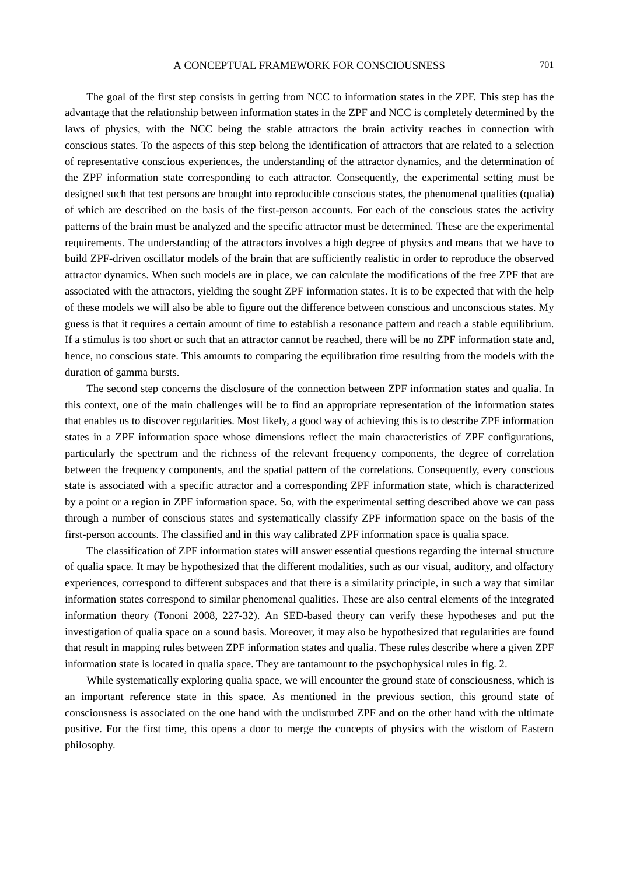The goal of the first step consists in getting from NCC to information states in the ZPF. This step has the advantage that the relationship between information states in the ZPF and NCC is completely determined by the laws of physics, with the NCC being the stable attractors the brain activity reaches in connection with conscious states. To the aspects of this step belong the identification of attractors that are related to a selection of representative conscious experiences, the understanding of the attractor dynamics, and the determination of the ZPF information state corresponding to each attractor. Consequently, the experimental setting must be designed such that test persons are brought into reproducible conscious states, the phenomenal qualities (qualia) of which are described on the basis of the first-person accounts. For each of the conscious states the activity patterns of the brain must be analyzed and the specific attractor must be determined. These are the experimental requirements. The understanding of the attractors involves a high degree of physics and means that we have to build ZPF-driven oscillator models of the brain that are sufficiently realistic in order to reproduce the observed attractor dynamics. When such models are in place, we can calculate the modifications of the free ZPF that are associated with the attractors, yielding the sought ZPF information states. It is to be expected that with the help of these models we will also be able to figure out the difference between conscious and unconscious states. My guess is that it requires a certain amount of time to establish a resonance pattern and reach a stable equilibrium. If a stimulus is too short or such that an attractor cannot be reached, there will be no ZPF information state and, hence, no conscious state. This amounts to comparing the equilibration time resulting from the models with the duration of gamma bursts.

The second step concerns the disclosure of the connection between ZPF information states and qualia. In this context, one of the main challenges will be to find an appropriate representation of the information states that enables us to discover regularities. Most likely, a good way of achieving this is to describe ZPF information states in a ZPF information space whose dimensions reflect the main characteristics of ZPF configurations, particularly the spectrum and the richness of the relevant frequency components, the degree of correlation between the frequency components, and the spatial pattern of the correlations. Consequently, every conscious state is associated with a specific attractor and a corresponding ZPF information state, which is characterized by a point or a region in ZPF information space. So, with the experimental setting described above we can pass through a number of conscious states and systematically classify ZPF information space on the basis of the first-person accounts. The classified and in this way calibrated ZPF information space is qualia space.

The classification of ZPF information states will answer essential questions regarding the internal structure of qualia space. It may be hypothesized that the different modalities, such as our visual, auditory, and olfactory experiences, correspond to different subspaces and that there is a similarity principle, in such a way that similar information states correspond to similar phenomenal qualities. These are also central elements of the integrated information theory (Tononi 2008, 227-32). An SED-based theory can verify these hypotheses and put the investigation of qualia space on a sound basis. Moreover, it may also be hypothesized that regularities are found that result in mapping rules between ZPF information states and qualia. These rules describe where a given ZPF information state is located in qualia space. They are tantamount to the psychophysical rules in fig. 2.

While systematically exploring qualia space, we will encounter the ground state of consciousness, which is an important reference state in this space. As mentioned in the previous section, this ground state of consciousness is associated on the one hand with the undisturbed ZPF and on the other hand with the ultimate positive. For the first time, this opens a door to merge the concepts of physics with the wisdom of Eastern philosophy.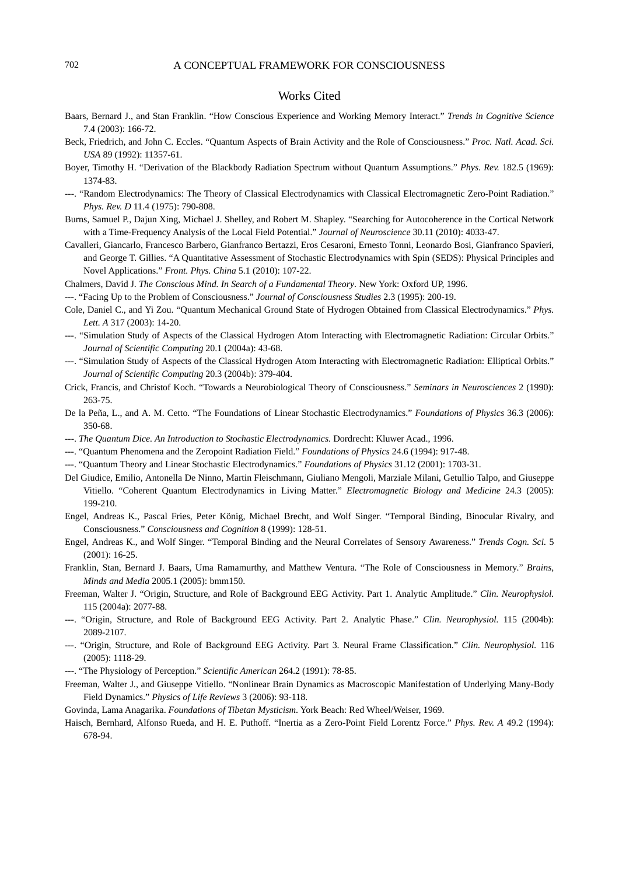## Works Cited

- Baars, Bernard J., and Stan Franklin. "How Conscious Experience and Working Memory Interact." *Trends in Cognitive Science* 7.4 (2003): 166-72.
- Beck, Friedrich, and John C. Eccles. "Quantum Aspects of Brain Activity and the Role of Consciousness." *Proc. Natl. Acad. Sci. USA* 89 (1992): 11357-61.
- Boyer, Timothy H. "Derivation of the Blackbody Radiation Spectrum without Quantum Assumptions." *Phys. Rev.* 182.5 (1969): 1374-83.
- ---. "Random Electrodynamics: The Theory of Classical Electrodynamics with Classical Electromagnetic Zero-Point Radiation." *Phys. Rev. D* 11.4 (1975): 790-808.
- Burns, Samuel P., Dajun Xing, Michael J. Shelley, and Robert M. Shapley. "Searching for Autocoherence in the Cortical Network with a Time-Frequency Analysis of the Local Field Potential." *Journal of Neuroscience* 30.11 (2010): 4033-47.

Cavalleri, Giancarlo, Francesco Barbero, Gianfranco Bertazzi, Eros Cesaroni, Ernesto Tonni, Leonardo Bosi, Gianfranco Spavieri, and George T. Gillies. "A Quantitative Assessment of Stochastic Electrodynamics with Spin (SEDS): Physical Principles and Novel Applications." *Front. Phys. China* 5.1 (2010): 107-22.

Chalmers, David J. *The Conscious Mind. In Search of a Fundamental Theory*. New York: Oxford UP, 1996.

---. "Facing Up to the Problem of Consciousness." *Journal of Consciousness Studies* 2.3 (1995): 200-19.

- Cole, Daniel C., and Yi Zou. "Quantum Mechanical Ground State of Hydrogen Obtained from Classical Electrodynamics." *Phys. Lett. A* 317 (2003): 14-20.
- ---. "Simulation Study of Aspects of the Classical Hydrogen Atom Interacting with Electromagnetic Radiation: Circular Orbits." *Journal of Scientific Computing* 20.1 (2004a): 43-68.
- ---. "Simulation Study of Aspects of the Classical Hydrogen Atom Interacting with Electromagnetic Radiation: Elliptical Orbits." *Journal of Scientific Computing* 20.3 (2004b): 379-404.
- Crick, Francis, and Christof Koch. "Towards a Neurobiological Theory of Consciousness." *Seminars in Neurosciences* 2 (1990): 263-75.
- De la Peña, L., and A. M. Cetto. "The Foundations of Linear Stochastic Electrodynamics." *Foundations of Physics* 36.3 (2006): 350-68.
- ---. *The Quantum Dice. An Introduction to Stochastic Electrodynamics*. Dordrecht: Kluwer Acad., 1996.
- ---. "Quantum Phenomena and the Zeropoint Radiation Field." *Foundations of Physics* 24.6 (1994): 917-48.
- ---. "Quantum Theory and Linear Stochastic Electrodynamics." *Foundations of Physics* 31.12 (2001): 1703-31.
- Del Giudice, Emilio, Antonella De Ninno, Martin Fleischmann, Giuliano Mengoli, Marziale Milani, Getullio Talpo, and Giuseppe Vitiello. "Coherent Quantum Electrodynamics in Living Matter." *Electromagnetic Biology and Medicine* 24.3 (2005): 199-210.
- Engel, Andreas K., Pascal Fries, Peter König, Michael Brecht, and Wolf Singer. "Temporal Binding, Binocular Rivalry, and Consciousness." *Consciousness and Cognition* 8 (1999): 128-51.
- Engel, Andreas K., and Wolf Singer. "Temporal Binding and the Neural Correlates of Sensory Awareness." *Trends Cogn. Sci.* 5 (2001): 16-25.
- Franklin, Stan, Bernard J. Baars, Uma Ramamurthy, and Matthew Ventura. "The Role of Consciousness in Memory." *Brains, Minds and Media* 2005.1 (2005): bmm150.
- Freeman, Walter J. "Origin, Structure, and Role of Background EEG Activity. Part 1. Analytic Amplitude." *Clin. Neurophysiol.* 115 (2004a): 2077-88.
- ---. "Origin, Structure, and Role of Background EEG Activity. Part 2. Analytic Phase." *Clin. Neurophysiol.* 115 (2004b): 2089-2107.
- ---. "Origin, Structure, and Role of Background EEG Activity. Part 3. Neural Frame Classification." *Clin. Neurophysiol.* 116 (2005): 1118-29.
- ---. "The Physiology of Perception." *Scientific American* 264.2 (1991): 78-85.
- Freeman, Walter J., and Giuseppe Vitiello. "Nonlinear Brain Dynamics as Macroscopic Manifestation of Underlying Many-Body Field Dynamics." *Physics of Life Reviews* 3 (2006): 93-118.

Govinda, Lama Anagarika. *Foundations of Tibetan Mysticism*. York Beach: Red Wheel/Weiser, 1969.

Haisch, Bernhard, Alfonso Rueda, and H. E. Puthoff. "Inertia as a Zero-Point Field Lorentz Force." *Phys. Rev. A* 49.2 (1994): 678-94.